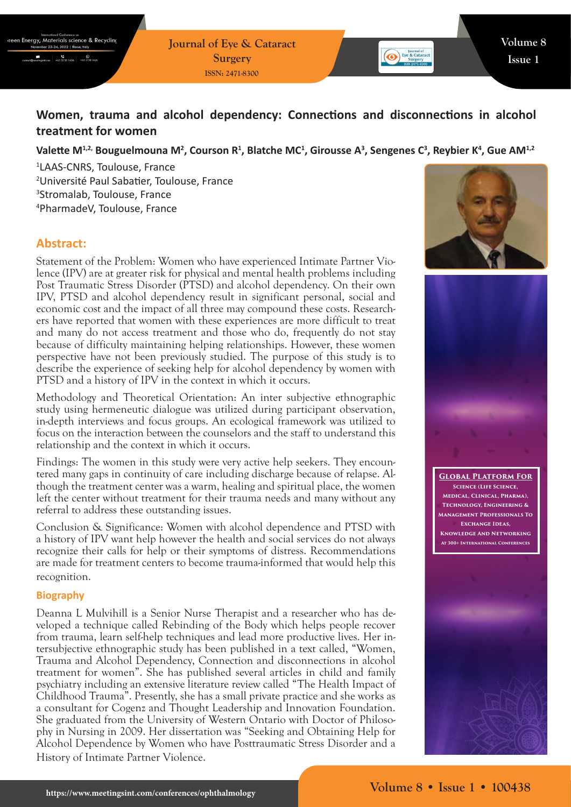**Journal of Eye & Cataract Surgery ISSN: 2471-8300**



# **Women, trauma and alcohol dependency: Connections and disconnections in alcohol treatment for women**

## Valette M<sup>1,2,</sup> Bouguelmouna M<sup>2</sup>, Courson R<sup>1</sup>, Blatche MC<sup>1</sup>, Girousse A<sup>3</sup>, Sengenes C<sup>3</sup>, Reybier K<sup>4</sup>, Gue AM<sup>1,2</sup>

 LAAS-CNRS, Toulouse, France Université Paul Sabatier, Toulouse, France Stromalab, Toulouse, France PharmadeV, Toulouse, France

# **Abstract:**

Statement of the Problem: Women who have experienced Intimate Partner Violence (IPV) are at greater risk for physical and mental health problems including Post Traumatic Stress Disorder (PTSD) and alcohol dependency. On their own IPV, PTSD and alcohol dependency result in significant personal, social and economic cost and the impact of all three may compound these costs. Researchers have reported that women with these experiences are more difficult to treat and many do not access treatment and those who do, frequently do not stay because of difficulty maintaining helping relationships. However, these women perspective have not been previously studied. The purpose of this study is to describe the experience of seeking help for alcohol dependency by women with PTSD and a history of IPV in the context in which it occurs.

Methodology and Theoretical Orientation: An inter subjective ethnographic study using hermeneutic dialogue was utilized during participant observation, in-depth interviews and focus groups. An ecological framework was utilized to focus on the interaction between the counselors and the staff to understand this relationship and the context in which it occurs.

Findings: The women in this study were very active help seekers. They encountered many gaps in continuity of care including discharge because of relapse. Although the treatment center was a warm, healing and spiritual place, the women left the center without treatment for their trauma needs and many without any referral to address these outstanding issues.

Conclusion & Significance: Women with alcohol dependence and PTSD with a history of IPV want help however the health and social services do not always recognize their calls for help or their symptoms of distress. Recommendations are made for treatment centers to become trauma-informed that would help this recognition.

#### **Biography**

Deanna L Mulvihill is a Senior Nurse Therapist and a researcher who has developed a technique called Rebinding of the Body which helps people recover from trauma, learn self-help techniques and lead more productive lives. Her intersubjective ethnographic study has been published in a text called, "Women, Trauma and Alcohol Dependency, Connection and disconnections in alcohol treatment for women". She has published several articles in child and family psychiatry including an extensive literature review called "The Health Impact of Childhood Trauma". Presently, she has a small private practice and she works as a consultant for Cogenz and Thought Leadership and Innovation Foundation. She graduated from the University of Western Ontario with Doctor of Philosophy in Nursing in 2009. Her dissertation was "Seeking and Obtaining Help for Alcohol Dependence by Women who have Posttraumatic Stress Disorder and a History of Intimate Partner Violence.





**Global Platform For Science (Life Science, Medical, Clinical, Pharma), Technology, Engineering & Management Professionals To Exchange Ideas, Knowledge And Networking At 300+ International Conferences**